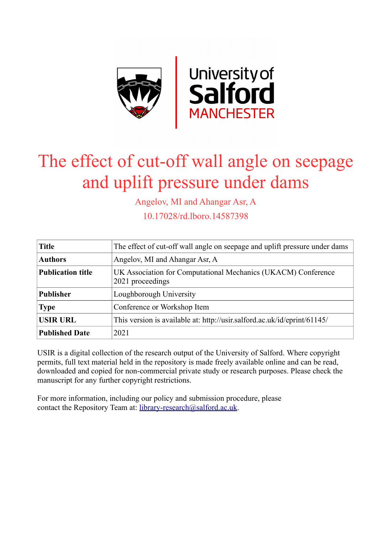

# The effect of cut-off wall angle on seepage and uplift pressure under dams

Angelov, MI and Ahangar Asr, A

10.17028/rd.lboro.14587398

| <b>Title</b>             | The effect of cut-off wall angle on seepage and uplift pressure under dams        |  |
|--------------------------|-----------------------------------------------------------------------------------|--|
| <b>Authors</b>           | Angelov, MI and Ahangar Asr, A                                                    |  |
| <b>Publication title</b> | UK Association for Computational Mechanics (UKACM) Conference<br>2021 proceedings |  |
| <b>Publisher</b>         | Loughborough University                                                           |  |
| <b>Type</b>              | Conference or Workshop Item                                                       |  |
| <b>USIR URL</b>          | This version is available at: http://usir.salford.ac.uk/id/eprint/61145/          |  |
| <b>Published Date</b>    | 2021                                                                              |  |

USIR is a digital collection of the research output of the University of Salford. Where copyright permits, full text material held in the repository is made freely available online and can be read, downloaded and copied for non-commercial private study or research purposes. Please check the manuscript for any further copyright restrictions.

For more information, including our policy and submission procedure, please contact the Repository Team at: [library-research@salford.ac.uk.](mailto:library-research@salford.ac.uk)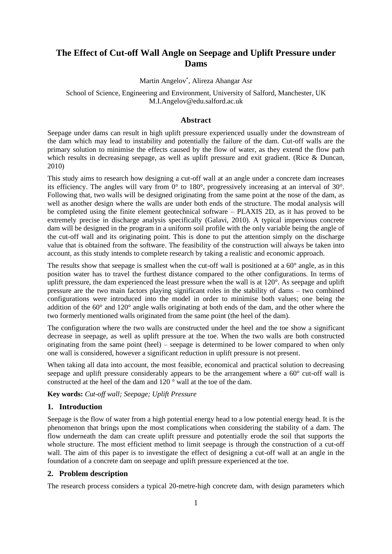# **The Effect of Cut-off Wall Angle on Seepage and Uplift Pressure under Dams**

Martin Angelov\* , Alireza Ahangar Asr

## School of Science, Engineering and Environment, University of Salford, Manchester, UK M.I.Angelov@edu.salford.ac.uk

#### **Abstract**

Seepage under dams can result in high uplift pressure experienced usually under the downstream of the dam which may lead to instability and potentially the failure of the dam. Cut-off walls are the primary solution to minimise the effects caused by the flow of water, as they extend the flow path which results in decreasing seepage, as well as uplift pressure and exit gradient. (Rice & Duncan, 2010)

This study aims to research how designing a cut-off wall at an angle under a concrete dam increases its efficiency. The angles will vary from 0° to 180°, progressively increasing at an interval of 30°. Following that, two walls will be designed originating from the same point at the nose of the dam, as well as another design where the walls are under both ends of the structure. The modal analysis will be completed using the finite element geotechnical software – PLAXIS 2D, as it has proved to be extremely precise in discharge analysis specifically (Galavi, 2010). A typical impervious concrete dam will be designed in the program in a uniform soil profile with the only variable being the angle of the cut-off wall and its originating point. This is done to put the attention simply on the discharge value that is obtained from the software. The feasibility of the construction will always be taken into account, as this study intends to complete research by taking a realistic and economic approach.

The results show that seepage is smallest when the cut-off wall is positioned at a  $60^\circ$  angle, as in this position water has to travel the furthest distance compared to the other configurations. In terms of uplift pressure, the dam experienced the least pressure when the wall is at 120°. As seepage and uplift pressure are the two main factors playing significant roles in the stability of dams – two combined configurations were introduced into the model in order to minimise both values; one being the addition of the 60° and 120° angle walls originating at both ends of the dam, and the other where the two formerly mentioned walls originated from the same point (the heel of the dam).

The configuration where the two walls are constructed under the heel and the toe show a significant decrease in seepage, as well as uplift pressure at the toe. When the two walls are both constructed originating from the same point (heel) – seepage is determined to be lower compared to when only one wall is considered, however a significant reduction in uplift pressure is not present.

When taking all data into account, the most feasible, economical and practical solution to decreasing seepage and uplift pressure considerably appears to be the arrangement where a 60° cut-off wall is constructed at the heel of the dam and 120 ° wall at the toe of the dam.

**Key words:** *Cut-off wall; Seepage; Uplift Pressure*

## **1. Introduction**

Seepage is the flow of water from a high potential energy head to a low potential energy head. It is the phenomenon that brings upon the most complications when considering the stability of a dam. The flow underneath the dam can create uplift pressure and potentially erode the soil that supports the whole structure. The most efficient method to limit seepage is through the construction of a cut-off wall. The aim of this paper is to investigate the effect of designing a cut-off wall at an angle in the foundation of a concrete dam on seepage and uplift pressure experienced at the toe.

## **2. Problem description**

The research process considers a typical 20-metre-high concrete dam, with design parameters which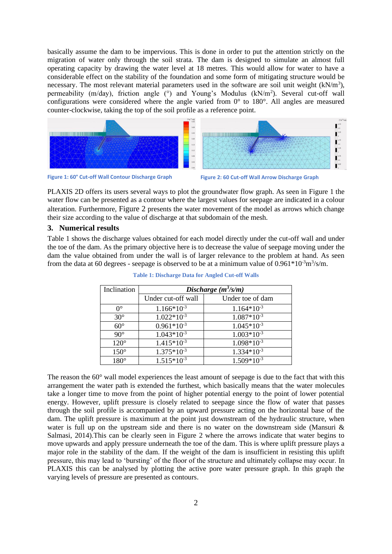basically assume the dam to be impervious. This is done in order to put the attention strictly on the migration of water only through the soil strata. The dam is designed to simulate an almost full operating capacity by drawing the water level at 18 metres. This would allow for water to have a considerable effect on the stability of the foundation and some form of mitigating structure would be necessary. The most relevant material parameters used in the software are soil unit weight  $(kN/m<sup>3</sup>)$ , permeability (m/day), friction angle (°) and Young's Modulus (kN/m<sup>2</sup>). Several cut-off wall configurations were considered where the angle varied from  $0^{\circ}$  to 180 $^{\circ}$ . All angles are measured counter-clockwise, taking the top of the soil profile as a reference point.



**Figure 1: 60° Cut-off Wall Contour Discharge Graph Figure 2: 60 Cut-off Wall Arrow Discharge Graph**

PLAXIS 2D offers its users several ways to plot the groundwater flow graph. As seen in [Figure 1](#page--1-0) the water flow can be presented as a contour where the largest values for seepage are indicated in a colour alteration. Furthermore, [Figure 2](#page--1-1) presents the water movement of the model as arrows which change their size according to the value of discharge at that subdomain of the mesh.

# **3. Numerical results**

[Table 1](#page--1-2) shows the discharge values obtained for each model directly under the cut-off wall and under the toe of the dam. As the primary objective here is to decrease the value of seepage moving under the dam the value obtained from under the wall is of larger relevance to the problem at hand. As seen from the data at 60 degrees - seepage is observed to be at a minimum value of  $0.961 * 10^{-3} \text{m}^3/\text{s/m}$ .

| Inclination      | Discharge $(m^3/s/m)$ |                  |
|------------------|-----------------------|------------------|
|                  | Under cut-off wall    | Under toe of dam |
| $\Omega^{\circ}$ | $1.166*10-3$          | $1.164*10^{-3}$  |
| $30^{\circ}$     | $1.022*10-3$          | $1.087*10^{-3}$  |
| $60^{\circ}$     | $0.961*10^{-3}$       | $1.045*10-3$     |
| $90^{\circ}$     | $1.043*10-3$          | $1.003*10-3$     |
| $120^\circ$      | $1.415*10-3$          | $1.098*10-3$     |
| $150^\circ$      | $1.375*10-3$          | $1.334*10^{-3}$  |
| $180^\circ$      | $1.515*10-3$          | $1.509*10^{-3}$  |

**Table 1: Discharge Data for Angled Cut-off Walls**

The reason the  $60^{\circ}$  wall model experiences the least amount of seepage is due to the fact that with this arrangement the water path is extended the furthest, which basically means that the water molecules take a longer time to move from the point of higher potential energy to the point of lower potential energy. However, uplift pressure is closely related to seepage since the flow of water that passes through the soil profile is accompanied by an upward pressure acting on the horizontal base of the dam. The uplift pressure is maximum at the point just downstream of the hydraulic structure, when water is full up on the upstream side and there is no water on the downstream side (Mansuri & Salmasi, 2014).This can be clearly seen in [Figure 2](#page--1-1) where the arrows indicate that water begins to move upwards and apply pressure underneath the toe of the dam. This is where uplift pressure plays a major role in the stability of the dam. If the weight of the dam is insufficient in resisting this uplift pressure, this may lead to 'bursting' of the floor of the structure and ultimately collapse may occur. In PLAXIS this can be analysed by plotting the active pore water pressure graph. In this graph the varying levels of pressure are presented as contours.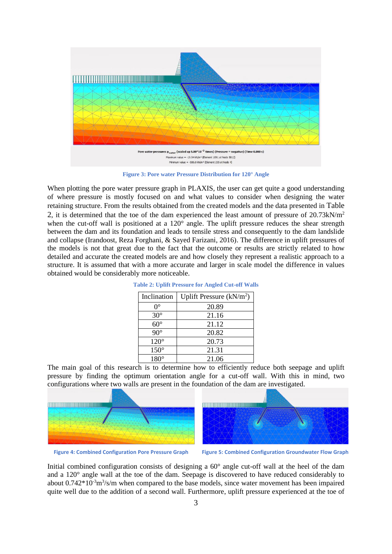

**Figure 3: Pore water Pressure Distribution for 120° Angle**

When plotting the pore water pressure graph in PLAXIS, the user can get quite a good understanding of where pressure is mostly focused on and what values to consider when designing the water retaining structure. From the results obtained from the created models and the data presented in [Table](#page--1-3)  [2](#page--1-3), it is determined that the toe of the dam experienced the least amount of pressure of  $20.73 \text{kN/m}^2$ when the cut-off wall is positioned at a 120° angle. The uplift pressure reduces the shear strength between the dam and its foundation and leads to tensile stress and consequently to the dam landslide and collapse (Irandoost, Reza Forghani, & Sayed Farizani, 2016). The difference in uplift pressures of the models is not that great due to the fact that the outcome or results are strictly related to how detailed and accurate the created models are and how closely they represent a realistic approach to a structure. It is assumed that with a more accurate and larger in scale model the difference in values obtained would be considerably more noticeable.

| Inclination | Uplift Pressure $(kN/m2)$ |
|-------------|---------------------------|
| O°          | 20.89                     |
| $30^\circ$  | 21.16                     |
| $60^\circ$  | 21.12                     |
| $90^\circ$  | 20.82                     |
| $120^\circ$ | 20.73                     |
| $150^\circ$ | 21.31                     |
| $180^\circ$ | 21.06                     |

**Table 2: Uplift Pressure for Angled Cut-off Walls**

The main goal of this research is to determine how to efficiently reduce both seepage and uplift pressure by finding the optimum orientation angle for a cut-off wall. With this in mind, two configurations where two walls are present in the foundation of the dam are investigated.



**Figure 4: Combined Configuration Pore Pressure Graph Figure 5: Combined Configuration Groundwater Flow Graph**

Initial combined configuration consists of designing a 60° angle cut-off wall at the heel of the dam and a 120° angle wall at the toe of the dam. Seepage is discovered to have reduced considerably to about  $0.742*10<sup>-3</sup>m<sup>3</sup>/s/m$  when compared to the base models, since water movement has been impaired quite well due to the addition of a second wall. Furthermore, uplift pressure experienced at the toe of